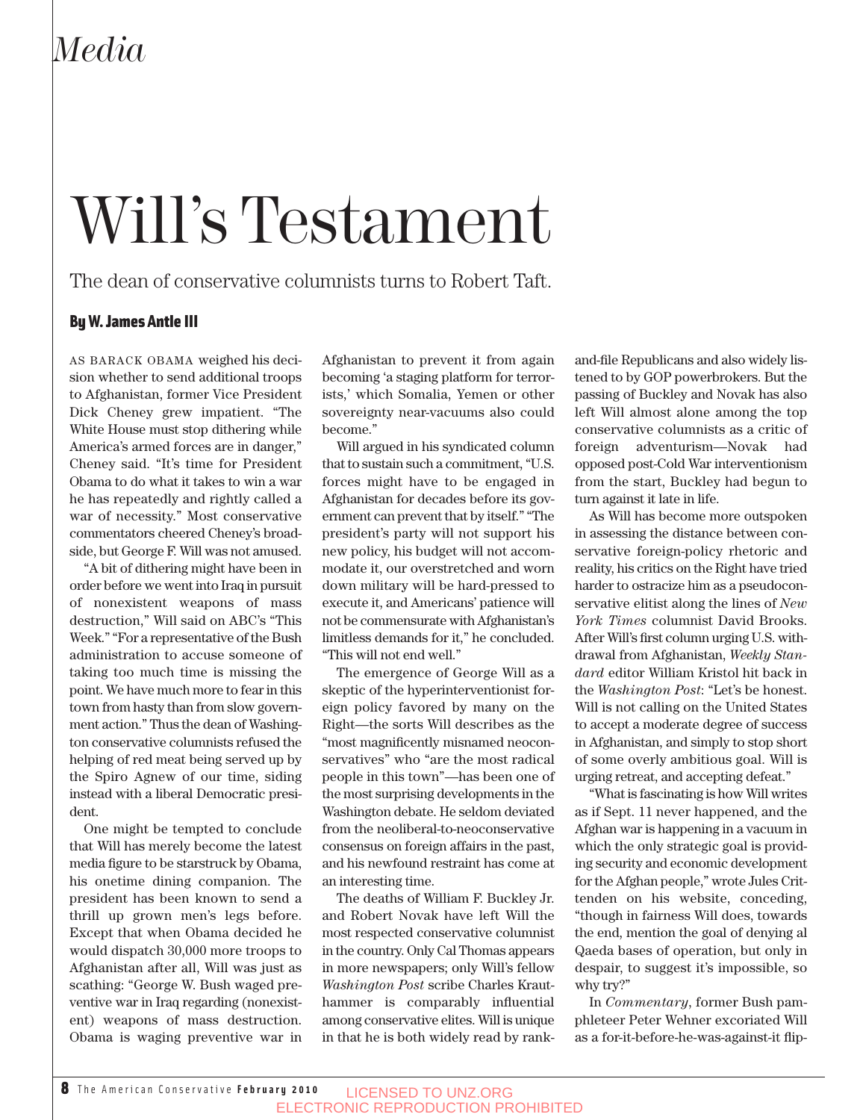# Will's Testament

The dean of conservative columnists turns to Robert Taft.

### By W. James Antle III

AS BARACK OBAMA weighed his decision whether to send additional troops to Afghanistan, former Vice President Dick Cheney grew impatient. "The White House must stop dithering while America's armed forces are in danger," Cheney said. "It's time for President Obama to do what it takes to win a war he has repeatedly and rightly called a war of necessity." Most conservative commentators cheered Cheney's broadside, but George F. Will was not amused.

"A bit of dithering might have been in order before we went into Iraq in pursuit of nonexistent weapons of mass destruction," Will said on ABC's "This Week." "For a representative of the Bush administration to accuse someone of taking too much time is missing the point. We have much more to fear in this town from hasty than from slow government action." Thus the dean of Washington conservative columnists refused the helping of red meat being served up by the Spiro Agnew of our time, siding instead with a liberal Democratic president.

One might be tempted to conclude that Will has merely become the latest media figure to be starstruck by Obama, his onetime dining companion. The president has been known to send a thrill up grown men's legs before. Except that when Obama decided he would dispatch 30,000 more troops to Afghanistan after all, Will was just as scathing: "George W. Bush waged preventive war in Iraq regarding (nonexistent) weapons of mass destruction. Obama is waging preventive war in

Afghanistan to prevent it from again becoming 'a staging platform for terrorists,' which Somalia, Yemen or other sovereignty near-vacuums also could become."

Will argued in his syndicated column that to sustain such a commitment, "U.S. forces might have to be engaged in Afghanistan for decades before its government can prevent that by itself." "The president's party will not support his new policy, his budget will not accommodate it, our overstretched and worn down military will be hard-pressed to execute it, and Americans' patience will not be commensurate with Afghanistan's limitless demands for it," he concluded. "This will not end well."

The emergence of George Will as a skeptic of the hyperinterventionist foreign policy favored by many on the Right—the sorts Will describes as the "most magnificently misnamed neoconservatives" who "are the most radical people in this town"—has been one of the most surprising developments in the Washington debate. He seldom deviated from the neoliberal-to-neoconservative consensus on foreign affairs in the past, and his newfound restraint has come at an interesting time.

The deaths of William F. Buckley Jr. and Robert Novak have left Will the most respected conservative columnist in the country. Only Cal Thomas appears in more newspapers; only Will's fellow *Washington Post* scribe Charles Krauthammer is comparably influential among conservative elites. Will is unique in that he is both widely read by rankand-file Republicans and also widely listened to by GOP powerbrokers. But the passing of Buckley and Novak has also left Will almost alone among the top conservative columnists as a critic of foreign adventurism—Novak had opposed post-Cold War interventionism from the start, Buckley had begun to turn against it late in life.

As Will has become more outspoken in assessing the distance between conservative foreign-policy rhetoric and reality, his critics on the Right have tried harder to ostracize him as a pseudoconservative elitist along the lines of *New York Times* columnist David Brooks. After Will's first column urging U.S. withdrawal from Afghanistan, *Weekly Standard* editor William Kristol hit back in the *Washington Post*: "Let's be honest. Will is not calling on the United States to accept a moderate degree of success in Afghanistan, and simply to stop short of some overly ambitious goal. Will is urging retreat, and accepting defeat."

"What is fascinating is how Will writes as if Sept. 11 never happened, and the Afghan war is happening in a vacuum in which the only strategic goal is providing security and economic development for the Afghan people," wrote Jules Crittenden on his website, conceding, "though in fairness Will does, towards the end, mention the goal of denying al Qaeda bases of operation, but only in despair, to suggest it's impossible, so why try?"

In *Commentary*, former Bush pamphleteer Peter Wehner excoriated Will as a for-it-before-he-was-against-it flip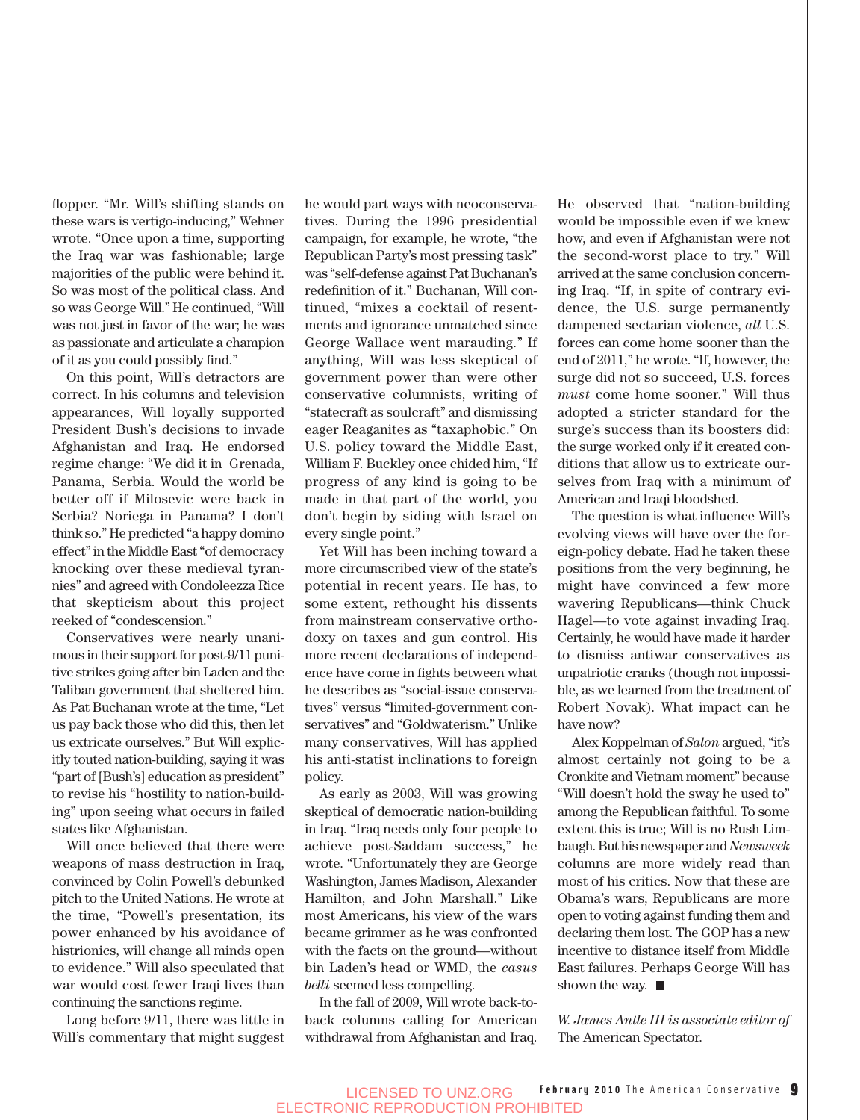flopper. "Mr. Will's shifting stands on these wars is vertigo-inducing," Wehner wrote. "Once upon a time, supporting the Iraq war was fashionable; large majorities of the public were behind it. So was most of the political class. And so was George Will." He continued, "Will was not just in favor of the war; he was as passionate and articulate a champion of it as you could possibly find."

On this point, Will's detractors are correct. In his columns and television appearances, Will loyally supported President Bush's decisions to invade Afghanistan and Iraq. He endorsed regime change: "We did it in Grenada, Panama, Serbia. Would the world be better off if Milosevic were back in Serbia? Noriega in Panama? I don't think so." He predicted "a happy domino effect" in the Middle East "of democracy knocking over these medieval tyrannies" and agreed with Condoleezza Rice that skepticism about this project reeked of "condescension."

Conservatives were nearly unanimous in their support for post-9/11 punitive strikes going after bin Laden and the Taliban government that sheltered him. As Pat Buchanan wrote at the time, "Let us pay back those who did this, then let us extricate ourselves." But Will explicitly touted nation-building, saying it was "part of [Bush's] education as president" to revise his "hostility to nation-building" upon seeing what occurs in failed states like Afghanistan.

Will once believed that there were weapons of mass destruction in Iraq, convinced by Colin Powell's debunked pitch to the United Nations. He wrote at the time, "Powell's presentation, its power enhanced by his avoidance of histrionics, will change all minds open to evidence." Will also speculated that war would cost fewer Iraqi lives than continuing the sanctions regime.

Long before 9/11, there was little in Will's commentary that might suggest he would part ways with neoconservatives. During the 1996 presidential campaign, for example, he wrote, "the Republican Party's most pressing task" was "self-defense against Pat Buchanan's redefinition of it." Buchanan, Will continued, "mixes a cocktail of resentments and ignorance unmatched since George Wallace went marauding." If anything, Will was less skeptical of government power than were other conservative columnists, writing of "statecraft as soulcraft" and dismissing eager Reaganites as "taxaphobic." On U.S. policy toward the Middle East, William F. Buckley once chided him, "If progress of any kind is going to be made in that part of the world, you don't begin by siding with Israel on every single point."

Yet Will has been inching toward a more circumscribed view of the state's potential in recent years. He has, to some extent, rethought his dissents from mainstream conservative orthodoxy on taxes and gun control. His more recent declarations of independence have come in fights between what he describes as "social-issue conservatives" versus "limited-government conservatives" and "Goldwaterism." Unlike many conservatives, Will has applied his anti-statist inclinations to foreign policy.

As early as 2003, Will was growing skeptical of democratic nation-building in Iraq. "Iraq needs only four people to achieve post-Saddam success," he wrote. "Unfortunately they are George Washington, James Madison, Alexander Hamilton, and John Marshall." Like most Americans, his view of the wars became grimmer as he was confronted with the facts on the ground—without bin Laden's head or WMD, the *casus belli* seemed less compelling.

In the fall of 2009, Will wrote back-toback columns calling for American withdrawal from Afghanistan and Iraq.

He observed that "nation-building would be impossible even if we knew how, and even if Afghanistan were not the second-worst place to try." Will arrived at the same conclusion concerning Iraq. "If, in spite of contrary evidence, the U.S. surge permanently dampened sectarian violence, *all* U.S. forces can come home sooner than the end of 2011," he wrote. "If, however, the surge did not so succeed, U.S. forces *must* come home sooner." Will thus adopted a stricter standard for the surge's success than its boosters did: the surge worked only if it created conditions that allow us to extricate ourselves from Iraq with a minimum of American and Iraqi bloodshed.

The question is what influence Will's evolving views will have over the foreign-policy debate. Had he taken these positions from the very beginning, he might have convinced a few more wavering Republicans—think Chuck Hagel—to vote against invading Iraq. Certainly, he would have made it harder to dismiss antiwar conservatives as unpatriotic cranks (though not impossible, as we learned from the treatment of Robert Novak). What impact can he have now?

Alex Koppelman of *Salon* argued, "it's almost certainly not going to be a Cronkite and Vietnam moment" because "Will doesn't hold the sway he used to" among the Republican faithful. To some extent this is true; Will is no Rush Limbaugh. But his newspaper and *Newsweek* columns are more widely read than most of his critics. Now that these are Obama's wars, Republicans are more open to voting against funding them and declaring them lost. The GOP has a new incentive to distance itself from Middle East failures. Perhaps George Will has shown the way.  $\blacksquare$ 

*W. James Antle III is associate editor of* The American Spectator.